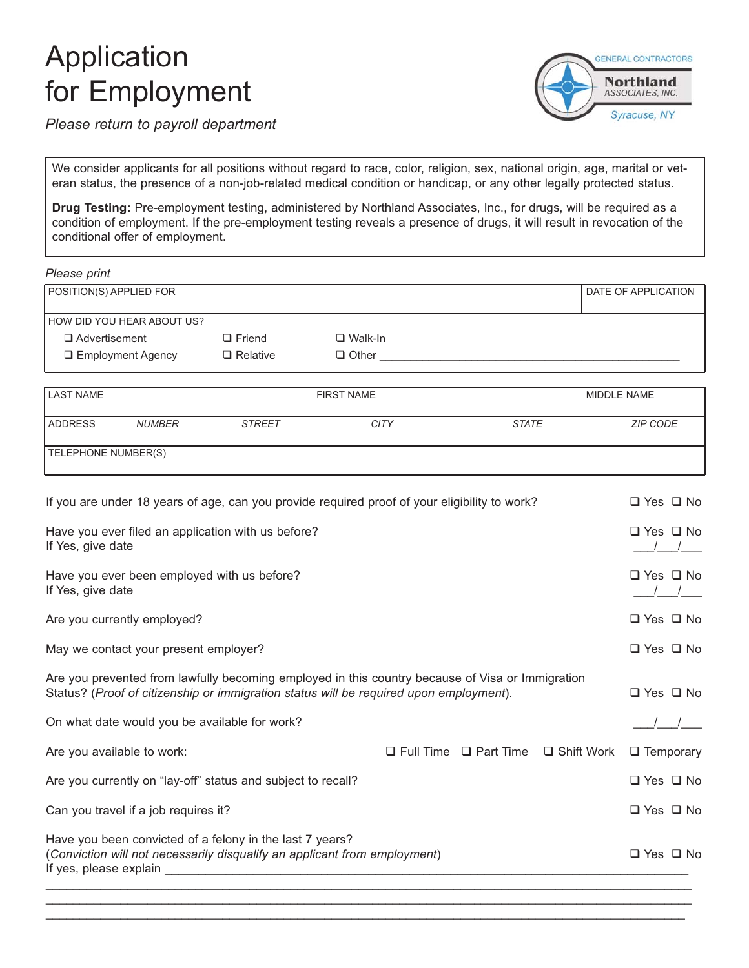# Application for Employment



*Please return to payroll department*

We consider applicants for all positions without regard to race, color, religion, sex, national origin, age, marital or veteran status, the presence of a non-job-related medical condition or handicap, or any other legally protected status.

**Drug Testing:** Pre-employment testing, administered by Northland Associates, Inc., for drugs, will be required as a condition of employment. If the pre-employment testing reveals a presence of drugs, it will result in revocation of the conditional offer of employment.

*Please print*

| POSITION(S) APPLIED FOR    |                 |                | DATE OF APPLICATION |
|----------------------------|-----------------|----------------|---------------------|
| HOW DID YOU HEAR ABOUT US? |                 |                |                     |
| □ Advertisement            | $\Box$ Friend   | $\Box$ Walk-In |                     |
| $\Box$ Employment Agency   | $\Box$ Relative | $\Box$ Other   |                     |
|                            |                 |                |                     |

| <b>LAST NAME</b>    |               |               | <b>FIRST NAME</b> |       | MIDDLE NAME     |
|---------------------|---------------|---------------|-------------------|-------|-----------------|
| <b>ADDRESS</b>      | <b>NUMBER</b> | <b>STREET</b> | <b>CITY</b>       | STATE | <b>ZIP CODE</b> |
| TELEPHONE NUMBER(S) |               |               |                   |       |                 |

| If you are under 18 years of age, can you provide required proof of your eligibility to work?                                                                                              |  |                                   |              |                      |  |  |  |  |  |
|--------------------------------------------------------------------------------------------------------------------------------------------------------------------------------------------|--|-----------------------------------|--------------|----------------------|--|--|--|--|--|
| Have you ever filed an application with us before?<br>If Yes, give date                                                                                                                    |  |                                   |              |                      |  |  |  |  |  |
| Have you ever been employed with us before?<br>If Yes, give date                                                                                                                           |  |                                   |              | $\Box$ Yes $\Box$ No |  |  |  |  |  |
| Are you currently employed?                                                                                                                                                                |  |                                   |              | $\Box$ Yes $\Box$ No |  |  |  |  |  |
| May we contact your present employer?                                                                                                                                                      |  |                                   |              | $\Box$ Yes $\Box$ No |  |  |  |  |  |
| Are you prevented from lawfully becoming employed in this country because of Visa or Immigration<br>Status? (Proof of citizenship or immigration status will be required upon employment). |  |                                   |              |                      |  |  |  |  |  |
| On what date would you be available for work?                                                                                                                                              |  |                                   |              |                      |  |  |  |  |  |
| Are you available to work:                                                                                                                                                                 |  | $\Box$ Full Time $\Box$ Part Time | □ Shift Work | $\Box$ Temporary     |  |  |  |  |  |
| Are you currently on "lay-off" status and subject to recall?                                                                                                                               |  |                                   |              | $\Box$ Yes $\Box$ No |  |  |  |  |  |
| Can you travel if a job requires it?                                                                                                                                                       |  |                                   |              | $\Box$ Yes $\Box$ No |  |  |  |  |  |
| Have you been convicted of a felony in the last 7 years?<br>(Conviction will not necessarily disqualify an applicant from employment)                                                      |  |                                   |              | $\Box$ Yes $\Box$ No |  |  |  |  |  |
|                                                                                                                                                                                            |  |                                   |              |                      |  |  |  |  |  |

\_\_\_\_\_\_\_\_\_\_\_\_\_\_\_\_\_\_\_\_\_\_\_\_\_\_\_\_\_\_\_\_\_\_\_\_\_\_\_\_\_\_\_\_\_\_\_\_\_\_\_\_\_\_\_\_\_\_\_\_\_\_\_\_\_\_\_\_\_\_\_\_\_\_\_\_\_\_\_\_\_\_\_\_\_\_\_\_\_\_\_\_\_\_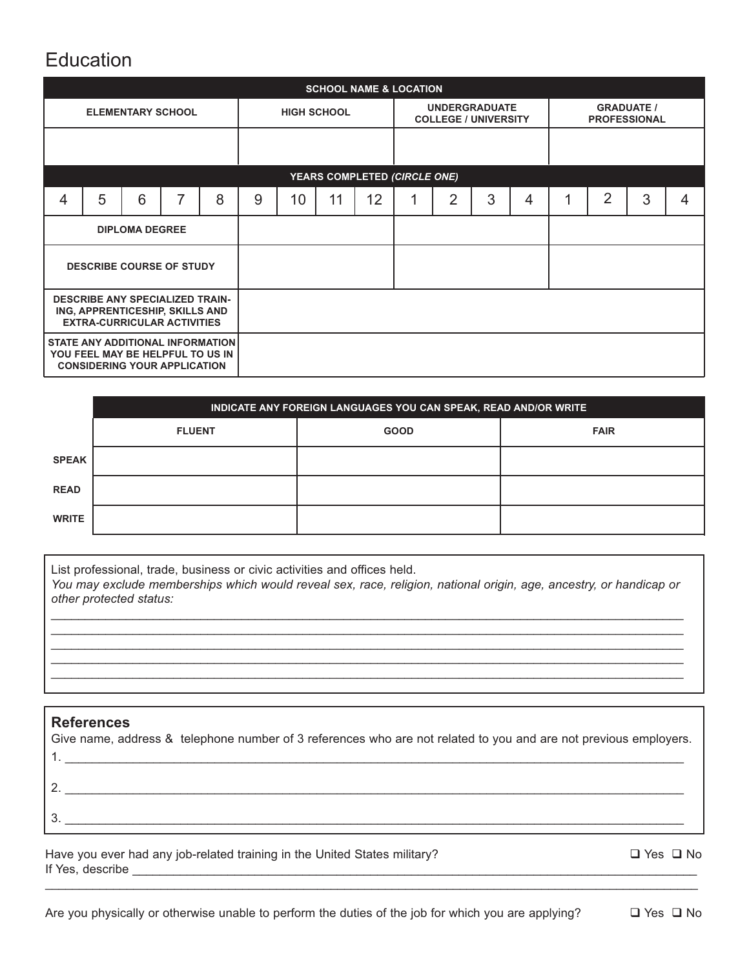# Education

|                                                                                                                 | <b>SCHOOL NAME &amp; LOCATION</b> |   |   |                    |   |    |                                                     |    |                              |                                          |   |   |   |                |   |   |
|-----------------------------------------------------------------------------------------------------------------|-----------------------------------|---|---|--------------------|---|----|-----------------------------------------------------|----|------------------------------|------------------------------------------|---|---|---|----------------|---|---|
| <b>ELEMENTARY SCHOOL</b>                                                                                        |                                   |   |   | <b>HIGH SCHOOL</b> |   |    | <b>UNDERGRADUATE</b><br><b>COLLEGE / UNIVERSITY</b> |    |                              | <b>GRADUATE /</b><br><b>PROFESSIONAL</b> |   |   |   |                |   |   |
|                                                                                                                 |                                   |   |   |                    |   |    |                                                     |    |                              |                                          |   |   |   |                |   |   |
|                                                                                                                 |                                   |   |   |                    |   |    |                                                     |    | YEARS COMPLETED (CIRCLE ONE) |                                          |   |   |   |                |   |   |
| 4                                                                                                               | 5                                 | 6 | 7 | 8                  | 9 | 10 | 11                                                  | 12 |                              | $\overline{2}$                           | 3 | 4 | и | $\overline{2}$ | 3 | 4 |
| <b>DIPLOMA DEGREE</b>                                                                                           |                                   |   |   |                    |   |    |                                                     |    |                              |                                          |   |   |   |                |   |   |
| <b>DESCRIBE COURSE OF STUDY</b>                                                                                 |                                   |   |   |                    |   |    |                                                     |    |                              |                                          |   |   |   |                |   |   |
| <b>DESCRIBE ANY SPECIALIZED TRAIN-</b><br>ING, APPRENTICESHIP, SKILLS AND<br><b>EXTRA-CURRICULAR ACTIVITIES</b> |                                   |   |   |                    |   |    |                                                     |    |                              |                                          |   |   |   |                |   |   |
| STATE ANY ADDITIONAL INFORMATION<br>YOU FEEL MAY BE HELPFUL TO US IN<br><b>CONSIDERING YOUR APPLICATION</b>     |                                   |   |   |                    |   |    |                                                     |    |                              |                                          |   |   |   |                |   |   |

|              | INDICATE ANY FOREIGN LANGUAGES YOU CAN SPEAK, READ AND/OR WRITE |             |             |  |  |  |  |  |  |  |
|--------------|-----------------------------------------------------------------|-------------|-------------|--|--|--|--|--|--|--|
|              | <b>FLUENT</b>                                                   | <b>GOOD</b> | <b>FAIR</b> |  |  |  |  |  |  |  |
| <b>SPEAK</b> |                                                                 |             |             |  |  |  |  |  |  |  |
| <b>READ</b>  |                                                                 |             |             |  |  |  |  |  |  |  |
| <b>WRITE</b> |                                                                 |             |             |  |  |  |  |  |  |  |

List professional, trade, business or civic activities and offices held.

*You may exclude memberships which would reveal sex, race, religion, national origin, age, ancestry, or handicap or other protected status:* \_\_\_\_\_\_\_\_\_\_\_\_\_\_\_\_\_\_\_\_\_\_\_\_\_\_\_\_\_\_\_\_\_\_\_\_\_\_\_\_\_\_\_\_\_\_\_\_\_\_\_\_\_\_\_\_\_\_\_\_\_\_\_\_\_\_\_\_\_\_\_\_\_\_\_\_\_\_\_\_\_\_\_\_\_\_\_\_\_\_\_\_\_

\_\_\_\_\_\_\_\_\_\_\_\_\_\_\_\_\_\_\_\_\_\_\_\_\_\_\_\_\_\_\_\_\_\_\_\_\_\_\_\_\_\_\_\_\_\_\_\_\_\_\_\_\_\_\_\_\_\_\_\_\_\_\_\_\_\_\_\_\_\_\_\_\_\_\_\_\_\_\_\_\_\_\_\_\_\_\_\_\_\_\_\_\_

\_\_\_\_\_\_\_\_\_\_\_\_\_\_\_\_\_\_\_\_\_\_\_\_\_\_\_\_\_\_\_\_\_\_\_\_\_\_\_\_\_\_\_\_\_\_\_\_\_\_\_\_\_\_\_\_\_\_\_\_\_\_\_\_\_\_\_\_\_\_\_\_\_\_\_\_\_\_\_\_\_\_\_\_\_\_\_\_\_\_\_\_\_

#### **References**

| Give name, address & telephone number of 3 references who are not related to you and are not previous employers. |
|------------------------------------------------------------------------------------------------------------------|
|                                                                                                                  |
|                                                                                                                  |
|                                                                                                                  |
|                                                                                                                  |
|                                                                                                                  |
|                                                                                                                  |

\_\_\_\_\_\_\_\_\_\_\_\_\_\_\_\_\_\_\_\_\_\_\_\_\_\_\_\_\_\_\_\_\_\_\_\_\_\_\_\_\_\_\_\_\_\_\_\_\_\_\_\_\_\_\_\_\_\_\_\_\_\_\_\_\_\_\_\_\_\_\_\_\_\_\_\_\_\_\_\_\_\_\_\_\_\_\_\_\_\_\_\_\_\_\_\_

Have you ever had any job-related training in the United States military?  $\square$  Yes  $\square$  No If Yes, describe \_\_\_\_\_\_\_\_\_\_\_\_\_\_\_\_\_\_\_\_\_\_\_\_\_\_\_\_\_\_\_\_\_\_\_\_\_\_\_\_\_\_\_\_\_\_\_\_\_\_\_\_\_\_\_\_\_\_\_\_\_\_\_\_\_\_\_\_\_\_\_\_\_\_\_\_\_\_\_\_\_\_\_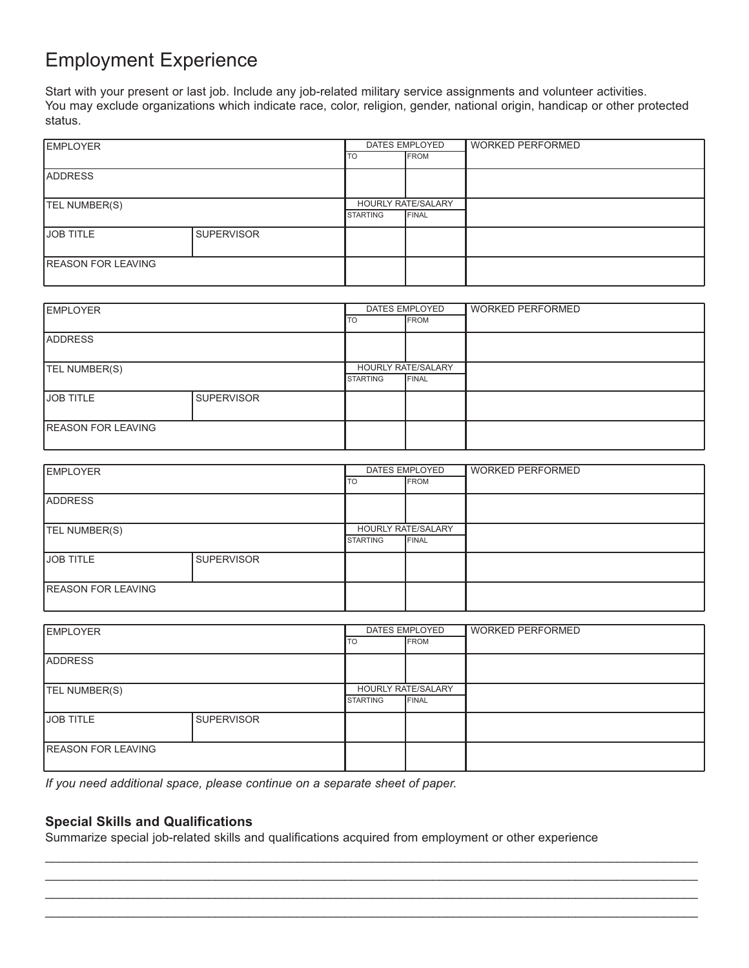## Employment Experience

Start with your present or last job. Include any job-related military service assignments and volunteer activities. You may exclude organizations which indicate race, color, religion, gender, national origin, handicap or other protected status.

| EMPLOYER                  | DATES EMPLOYED    |                    | <b>WORKED PERFORMED</b> |  |
|---------------------------|-------------------|--------------------|-------------------------|--|
|                           |                   | ITO                | <b>IFROM</b>            |  |
| <b>ADDRESS</b>            |                   |                    |                         |  |
|                           |                   |                    |                         |  |
| TEL NUMBER(S)             |                   | HOURLY RATE/SALARY |                         |  |
|                           |                   | <b>STARTING</b>    | <b>FINAL</b>            |  |
| <b>JOB TITLE</b>          | <b>SUPERVISOR</b> |                    |                         |  |
|                           |                   |                    |                         |  |
| <b>REASON FOR LEAVING</b> |                   |                    |                         |  |
|                           |                   |                    |                         |  |

| <b>IEMPLOYER</b>           |                   | DATES EMPLOYED                     | WORKED PERFORMED |  |
|----------------------------|-------------------|------------------------------------|------------------|--|
|                            | <b>TO</b>         | <b>IFROM</b>                       |                  |  |
| <b>ADDRESS</b>             |                   |                                    |                  |  |
| TEL NUMBER(S)              | <b>STARTING</b>   | HOURLY RATE/SALARY<br><b>FINAL</b> |                  |  |
| <b>JOB TITLE</b>           | <b>SUPERVISOR</b> |                                    |                  |  |
| <b>IREASON FOR LEAVING</b> |                   |                                    |                  |  |

| <b>EMPLOYER</b>           | DATES EMPLOYED    |                    | <b>WORKED PERFORMED</b> |  |
|---------------------------|-------------------|--------------------|-------------------------|--|
|                           |                   | ITO                | <b>IFROM</b>            |  |
| <b>ADDRESS</b>            |                   |                    |                         |  |
| <b>TEL NUMBER(S)</b>      |                   | HOURLY RATE/SALARY |                         |  |
|                           |                   | <b>STARTING</b>    | <b>FINAL</b>            |  |
| IJOB TITLE                | <b>SUPERVISOR</b> |                    |                         |  |
|                           |                   |                    |                         |  |
| <b>REASON FOR LEAVING</b> |                   |                    |                         |  |
|                           |                   |                    |                         |  |

| <b>EMPLOYER</b>            | DATES EMPLOYED    |                    | WORKED PERFORMED |  |
|----------------------------|-------------------|--------------------|------------------|--|
|                            | <b>TO</b>         | <b>IFROM</b>       |                  |  |
| <b>ADDRESS</b>             |                   |                    |                  |  |
|                            |                   |                    |                  |  |
| TEL NUMBER(S)              |                   | HOURLY RATE/SALARY |                  |  |
|                            |                   | <b>STARTING</b>    | <b>IFINAL</b>    |  |
| <b>JOB TITLE</b>           | <b>SUPERVISOR</b> |                    |                  |  |
|                            |                   |                    |                  |  |
| <b>IREASON FOR LEAVING</b> |                   |                    |                  |  |
|                            |                   |                    |                  |  |

\_\_\_\_\_\_\_\_\_\_\_\_\_\_\_\_\_\_\_\_\_\_\_\_\_\_\_\_\_\_\_\_\_\_\_\_\_\_\_\_\_\_\_\_\_\_\_\_\_\_\_\_\_\_\_\_\_\_\_\_\_\_\_\_\_\_\_\_\_\_\_\_\_\_\_\_\_\_\_\_\_\_\_\_\_\_\_\_\_\_\_\_\_\_\_\_ \_\_\_\_\_\_\_\_\_\_\_\_\_\_\_\_\_\_\_\_\_\_\_\_\_\_\_\_\_\_\_\_\_\_\_\_\_\_\_\_\_\_\_\_\_\_\_\_\_\_\_\_\_\_\_\_\_\_\_\_\_\_\_\_\_\_\_\_\_\_\_\_\_\_\_\_\_\_\_\_\_\_\_\_\_\_\_\_\_\_\_\_\_\_\_\_ \_\_\_\_\_\_\_\_\_\_\_\_\_\_\_\_\_\_\_\_\_\_\_\_\_\_\_\_\_\_\_\_\_\_\_\_\_\_\_\_\_\_\_\_\_\_\_\_\_\_\_\_\_\_\_\_\_\_\_\_\_\_\_\_\_\_\_\_\_\_\_\_\_\_\_\_\_\_\_\_\_\_\_\_\_\_\_\_\_\_\_\_\_\_\_\_ \_\_\_\_\_\_\_\_\_\_\_\_\_\_\_\_\_\_\_\_\_\_\_\_\_\_\_\_\_\_\_\_\_\_\_\_\_\_\_\_\_\_\_\_\_\_\_\_\_\_\_\_\_\_\_\_\_\_\_\_\_\_\_\_\_\_\_\_\_\_\_\_\_\_\_\_\_\_\_\_\_\_\_\_\_\_\_\_\_\_\_\_\_\_\_\_

*If you need additional space, please continue on a separate sheet of paper.*

#### **Special Skills and Qualifications**

Summarize special job-related skills and qualifications acquired from employment or other experience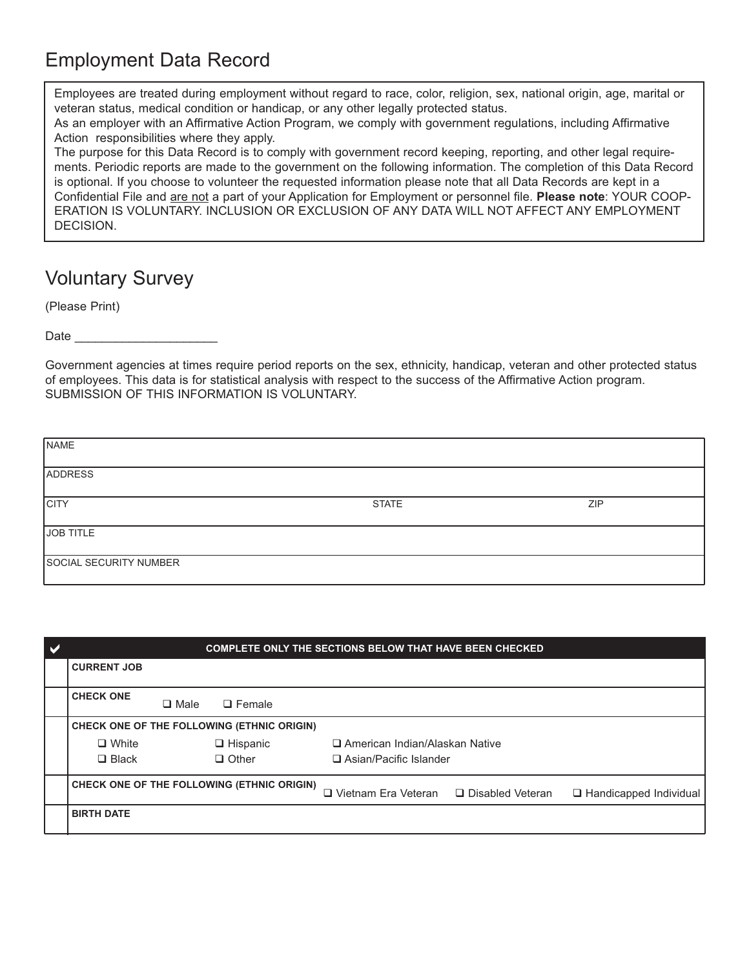# Employment Data Record

Employees are treated during employment without regard to race, color, religion, sex, national origin, age, marital or veteran status, medical condition or handicap, or any other legally protected status.

As an employer with an Affirmative Action Program, we comply with government regulations, including Affirmative Action responsibilities where they apply.

The purpose for this Data Record is to comply with government record keeping, reporting, and other legal requirements. Periodic reports are made to the government on the following information. The completion of this Data Record is optional. If you choose to volunteer the requested information please note that all Data Records are kept in a Confidential File and are not a part of your Application for Employment or personnel file. **Please note**: YOUR COOP-ERATION IS VOLUNTARY. INCLUSION OR EXCLUSION OF ANY DATA WILL NOT AFFECT ANY EMPLOYMENT DECISION.

### Voluntary Survey

(Please Print)

Date

Government agencies at times require period reports on the sex, ethnicity, handicap, veteran and other protected status of employees. This data is for statistical analysis with respect to the success of the Affirmative Action program. SUBMISSION OF THIS INFORMATION IS VOLUNTARY.

| NAME                   |              |            |
|------------------------|--------------|------------|
| <b>ADDRESS</b>         |              |            |
| <b>CITY</b>            | <b>STATE</b> | <b>ZIP</b> |
| JOB TITLE              |              |            |
| SOCIAL SECURITY NUMBER |              |            |

| <b>COMPLETE ONLY THE SECTIONS BELOW THAT HAVE BEEN CHECKED</b> |             |                 |  |                                  |                                                    |                          |  |  |
|----------------------------------------------------------------|-------------|-----------------|--|----------------------------------|----------------------------------------------------|--------------------------|--|--|
| <b>CURRENT JOB</b>                                             |             |                 |  |                                  |                                                    |                          |  |  |
| <b>CHECK ONE</b>                                               |             |                 |  |                                  |                                                    |                          |  |  |
|                                                                | $\Box$ Male | $\Box$ Female   |  |                                  |                                                    |                          |  |  |
| CHECK ONE OF THE FOLLOWING (ETHNIC ORIGIN)                     |             |                 |  |                                  |                                                    |                          |  |  |
| $\Box$ White                                                   |             | $\Box$ Hispanic |  | □ American Indian/Alaskan Native |                                                    |                          |  |  |
| $\Box$ Black                                                   |             | $\Box$ Other    |  | $\Box$ Asian/Pacific Islander    |                                                    |                          |  |  |
| CHECK ONE OF THE FOLLOWING (ETHNIC ORIGIN)                     |             |                 |  |                                  | $\Box$ Vietnam Era Veteran $\Box$ Disabled Veteran | □ Handicapped Individual |  |  |
| <b>BIRTH DATE</b>                                              |             |                 |  |                                  |                                                    |                          |  |  |